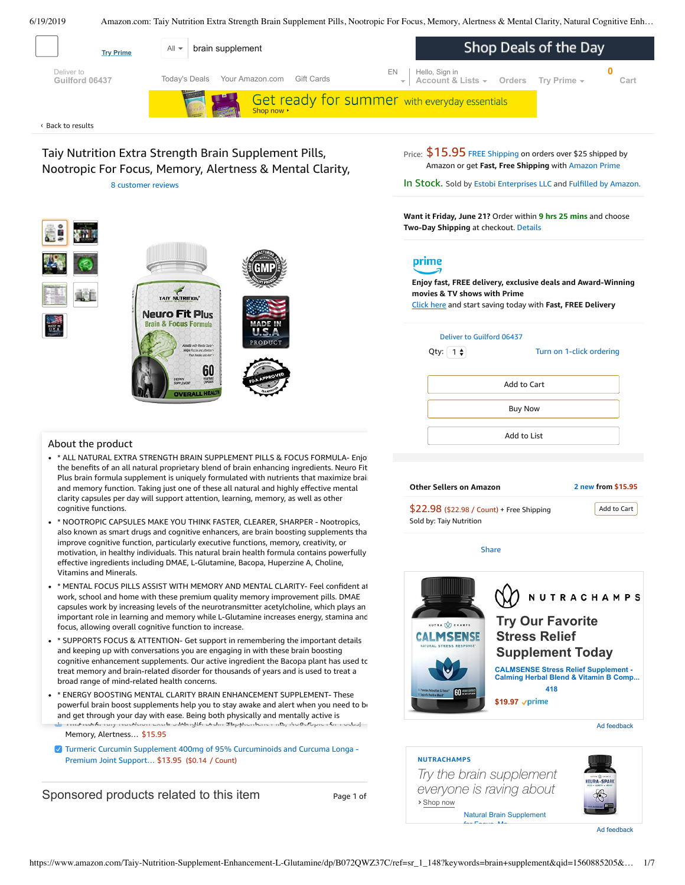6/19/2019 Amazon.com: Taiy Nutrition Extra Strength Brain Supplement Pills, Nootropic For Focus, Memory, Alertness & Mental Clarity, Natural Cognitive Enh…

<span id="page-0-0"></span>

**Want it Friday, June 21?** Order within **9 hrs 25 mins** and choose **Two-Day Shipping** at checkout. [Details](https://www.amazon.com/gp/help/customer/display.html/ref=ftinfo_dp_?ie=UTF8&nodeId=3510241&pop-up=1)

# prime

**Enjoy fast, FREE delivery, exclusive deals and Award-Winning movies & TV shows with Prime** Click here and start saving today with **Fast, FREE Delivery**

| Deliver to Guilford 06437<br>Turn on 1-click ordering |
|-------------------------------------------------------|
| Add to Cart                                           |
| <b>Buy Now</b>                                        |
| Add to List                                           |
|                                                       |

| <b>Other Sellers on Amazon</b>                                       | 2 new from \$15.95 |
|----------------------------------------------------------------------|--------------------|
| \$22.98 (\$22.98 / Count) + Free Shipping<br>Sold by: Taiy Nutrition | Add to Cart        |
| Share                                                                |                    |



Ad feedback

#### **NUTRACHAMPS**

**›** Shop now *Try the brain supplement everyone is raving about*



[Natural Brain Supplement](https://aax-us-east.amazon-adsystem.com/x/c/QmES3mjo6rNtSWvFpmDqtaYAAAFrcQKk4wEAAAH0AW-MsmI/https://www.amazon.com/dp/B072FH9YDV?ref_=ams_ad_dp_ttl) for Focus Me

Ad feedback



#### About the product

\* \* ALL NATURAL EXTRA STRENGTH BRAIN SUPPLEMENT PILLS & FOCUS FORMULA- Enjoy the benefits of an all natural proprietary blend of brain enhancing ingredients. Neuro Fit Plus brain formula supplement is uniquely formulated with nutrients that maximize brain and memory function. Taking just one of these all natural and highly effective mental clarity capsules per day will support attention, learning, memory, as well as other cognitive functions.

**OVERALL HE** 

- \* NOOTROPIC CAPSULES MAKE YOU THINK FASTER, CLEARER, SHARPER Nootropics, also known as smart drugs and cognitive enhancers, are brain boosting supplements that improve cognitive function, particularly executive functions, memory, creativity, or motivation, in healthy individuals. This natural brain health formula contains powerfully effective ingredients including DMAE, [L-Glutamine,](https://www.amazon.com/gp/redirect.html/ref=amb_link_1?_encoding=UTF8&location=https%3A%2F%2Fwww.amazon.com%2Fstores%2Fpage%2F5C6C0A16-CE60-4998-B799-A746AE18E19B%3Fchannel%3Dproduct_alert_v1&source=standards&token=725A568E064D46CFD215073B2EAF8C86121FB501&pf_rd_m=ATVPDKIKX0DER&pf_rd_s=product-alert&pf_rd_r=PKYNVJ97TFGKT1WXHTR3&pf_rd_r=PKYNVJ97TFGKT1WXHTR3&pf_rd_t=201&pf_rd_p=5ccb7e8b-1cdb-4056-8a8c-bdea3462f1a9&pf_rd_p=5ccb7e8b-1cdb-4056-8a8c-bdea3462f1a9&pf_rd_i=B072QWZ37C) Bacopa, Huperzine A, Choline, Vitamins and Minerals.
- important role in learning and memory while L-Glutamine increases energy, stamina and<br>facus allowing suscell somitive function to increase \* \* MENTAL FOCUS PILLS ASSIST WITH MEMORY AND MENTAL CLARITY- Feel confident at work, school and home with these premium quality memory improvement pills. DMAE capsules work by increasing levels of the neurotransmitter acetylcholine, which plays an focus, allowing overall cognitive function to increase.
- treat memory and brain-related disorder for thousands of years and is used to treat a<br>. \* SUPPORTS FOCUS & ATTENTION- Get support in remembering the important details cognitive enhancement supplements. Our active ingredient the Bacopa plant has used tc broad range of mind-related health concerns. and keeping up with co[nversation](https://www.amazon.com/Turmeric-Curcumin-Supplement-Curcuminoids-Curcuma/dp/B0778FFY72/ref=pd_bxgy_121_img_2/143-6729050-3493109?_encoding=UTF8&pd_rd_i=B0778FFY72&pd_rd_r=8b0b24b3-92c0-11e9-9375-01411e0c5734&pd_rd_w=wH2IS&pd_rd_wg=D8C4M&pf_rd_p=a2006322-0bc0-4db9-a08e-d168c18ce6f0&pf_rd_r=PKYNVJ97TFGKT1WXHTR3&psc=1&refRID=PKYNVJ97TFGKT1WXHTR3)s you are engaging in with these brain boosting
- i t ting nem: Taiy Nutrition Extra Strength Brain Supplement Pills, Nootropic For Focus, • \* ENERGY BOOSTING MENTAL CLARITY BRAIN ENHANCEMENT SUPPLEMENT- These powerful brain boost supplements help you to stay awake and alert when you need to be and get through your day with ease. Being both physically and mentally active is

Memory, Alertness… \$15.95

Turmeric Curcumin Supplement 400mg of 95% [Curcuminoids](https://www.amazon.com/Turmeric-Curcumin-Supplement-Curcuminoids-Curcuma/dp/B0778FFY72/ref=pd_bxgy_121_2/143-6729050-3493109?_encoding=UTF8&pd_rd_i=B0778FFY72&pd_rd_r=8b0b24b3-92c0-11e9-9375-01411e0c5734&pd_rd_w=wH2IS&pd_rd_wg=D8C4M&pf_rd_p=a2006322-0bc0-4db9-a08e-d168c18ce6f0&pf_rd_r=PKYNVJ97TFGKT1WXHTR3&psc=1&refRID=PKYNVJ97TFGKT1WXHTR3) and Curcuma Longa - Premium Joint Support… \$13.95 (\$0.14 / Count)

Sponsored products related to this item Page 1 of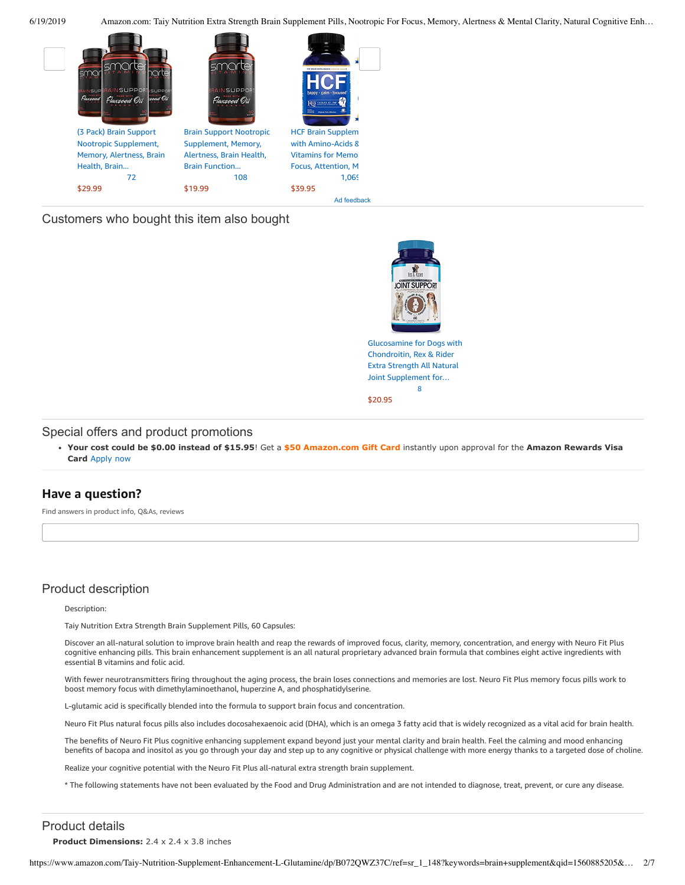6/19/2019 Amazon.com: Taiy Nutrition Extra Strength Brain Supplement Pills, Nootropic For Focus, Memory, Alertness & Mental Clarity, Natural Cognitive Enh…



# Customers who bought this item also bought



[Glucosamine](https://www.amazon.com/Glucosamine-Chondroitin-Rex-Rider-Supplement/dp/B0727VTKSR/ref=pd_sim_121_1/143-6729050-3493109?_encoding=UTF8&pd_rd_i=B0727VTKSR&pd_rd_r=8b0b24b3-92c0-11e9-9375-01411e0c5734&pd_rd_w=Ub8m1&pd_rd_wg=D8C4M&pf_rd_p=90485860-83e9-4fd9-b838-b28a9b7fda30&pf_rd_r=PKYNVJ97TFGKT1WXHTR3&psc=1&refRID=PKYNVJ97TFGKT1WXHTR3) for Dogs with Chondroitin, Rex & Rider Extra Strength All Natural Joint Supplement for… [8](https://www.amazon.com/product-reviews/B0727VTKSR/ref=pd_sim_121_cr_1/143-6729050-3493109?ie=UTF8&pd_rd_i=B0727VTKSR&pd_rd_r=8b0b24b3-92c0-11e9-9375-01411e0c5734&pd_rd_w=Ub8m1&pd_rd_wg=D8C4M&pf_rd_p=90485860-83e9-4fd9-b838-b28a9b7fda30&pf_rd_r=PKYNVJ97TFGKT1WXHTR3&refRID=PKYNVJ97TFGKT1WXHTR3)

[\\$20.95](https://www.amazon.com/Glucosamine-Chondroitin-Rex-Rider-Supplement/dp/B0727VTKSR/ref=pd_sim_121_1/143-6729050-3493109?_encoding=UTF8&pd_rd_i=B0727VTKSR&pd_rd_r=8b0b24b3-92c0-11e9-9375-01411e0c5734&pd_rd_w=Ub8m1&pd_rd_wg=D8C4M&pf_rd_p=90485860-83e9-4fd9-b838-b28a9b7fda30&pf_rd_r=PKYNVJ97TFGKT1WXHTR3&psc=1&refRID=PKYNVJ97TFGKT1WXHTR3)

#### Special offers and product promotions

**[Your cost could be \\$0.00 instead of \\$15.95](https://www.amazon.com/gp/cobrandcard/marketing.html?pr=con321&inc=50gcUnrec&ts=apzar4dkt91f8ywxiq8aic8qugf3t8g&dasin=B072QWZ37C&plattr=math&place=detailpage&imp=165e0752-b40f-41a2-a48a-4dce26f8cde1)**! Get a **\$50 Amazon.com Gift Card** instantly upon approval for the **Amazon Rewards Visa Card** Apply now

## **Have a question?**

Find answers in product info, Q&As, reviews

# Product description

#### Description:

Taiy Nutrition Extra Strength Brain Supplement Pills, 60 Capsules:

Discover an all-natural solution to improve brain health and reap the rewards of improved focus, clarity, memory, concentration, and energy with Neuro Fit Plus cognitive enhancing pills. This brain enhancement supplement is an all natural proprietary advanced brain formula that combines eight active ingredients with essential B vitamins and folic acid.

With fewer neurotransmitters firing throughout the aging process, the brain loses connections and memories are lost. Neuro Fit Plus memory focus pills work to boost memory focus with dimethylaminoethanol, huperzine A, and phosphatidylserine.

L-glutamic acid is specifically blended into the formula to support brain focus and concentration.

Neuro Fit Plus natural focus pills also includes docosahexaenoic acid (DHA), which is an omega 3 fatty acid that is widely recognized as a vital acid for brain health.

The benefits of Neuro Fit Plus cognitive enhancing supplement expand beyond just your mental clarity and brain health. Feel the calming and mood enhancing benefits of bacopa and inositol as you go through your day and step up to any cognitive or physical challenge with more energy thanks to a targeted dose of choline.

Realize your cognitive potential with the Neuro Fit Plus all-natural extra strength brain supplement.

\* The following statements have not been evaluated by the Food and Drug Administration and are not intended to diagnose, treat, prevent, or cure any disease.

# Product details

**Product Dimensions:** 2.4 x 2.4 x 3.8 inches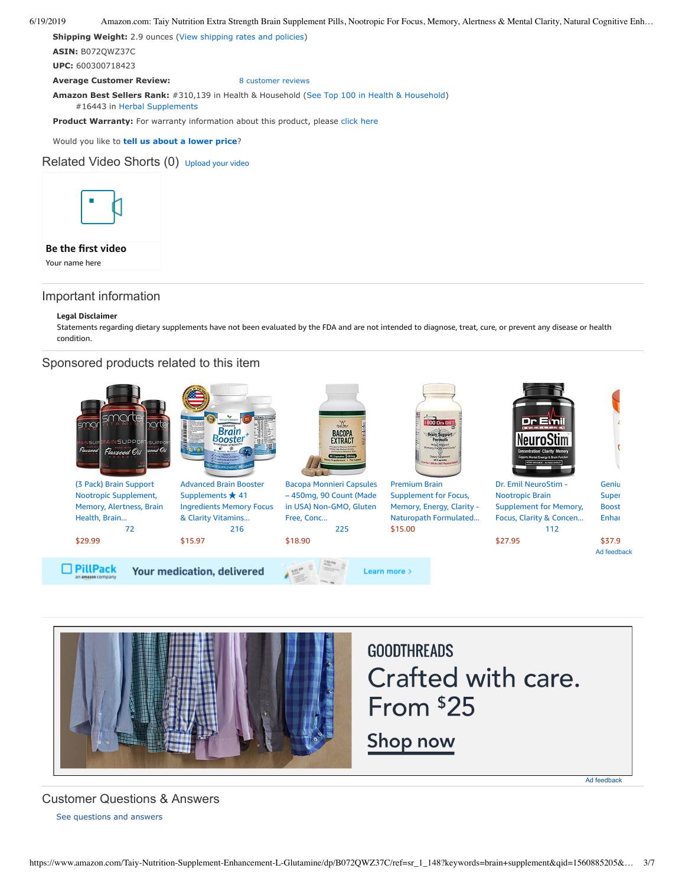#### 6/19/2019 Amazon.com: Taiy Nutrition Extra Strength Brain Supplement Pills, Nootropic For Focus, Memory, Alertness & Mental Clarity, Natural Cognitive Enh…

**Shipping Weight:** 2.9 ounces [\(View shipping rates and policies\)](https://www.amazon.com/gp/help/seller/shipping.html/ref=dp_pd_shipping?ie=UTF8&asin=B072QWZ37C&seller=ATVPDKIKX0DER)

**ASIN:** B072QWZ37C

**UPC:** 600300718423

**Average Customer Review:** [8 customer reviews](https://www.amazon.com/product-reviews/B072QWZ37C/ref=acr_dpproductdetail_text?ie=UTF8&showViewpoints=1)

**Amazon Best Sellers Rank:** #310,139 in Health & Household [\(See Top 100 in Health & Household](https://www.amazon.com/gp/bestsellers/hpc/ref=pd_zg_ts_hpc))

**Product Warranty:** For warranty information about this product, please [click here](https://www.amazon.com/gp/feature.html/ref=dp_warranty_request_3P?ie=UTF8&docId=1002406021)

Would you like to **tell us about a lower price**?

#16443 in [Herbal Supplements](https://www.amazon.com/gp/bestsellers/hpc/3764461/ref=pd_zg_hrsr_hpc)

# Related Video Shorts (0) [Upload](https://www.amazon.com/creatorhub/video/upload?productASIN=B072QWZ37C&referringURL=ZHAvQjA3MlFXWjM3Qw%3D%3D&ref=RVSW) your video



# **Be the first video**

Your name here

# Important information

#### **Legal Disclaimer**

Statements regarding dietary supplements have not been evaluated by the FDA and are not intended to diagnose, treat, cure, or prevent any disease or health condition.

# Sponsored products related to this item





# **GOODTHREADS** Crafted with care. From \$25

Shop now

Ad feedback

# [See questions and answers](https://www.amazon.com/ask/questions/asin/B072QWZ37C/ref=cm_cd_dp_lla_ql_ll) Customer Questions & Answers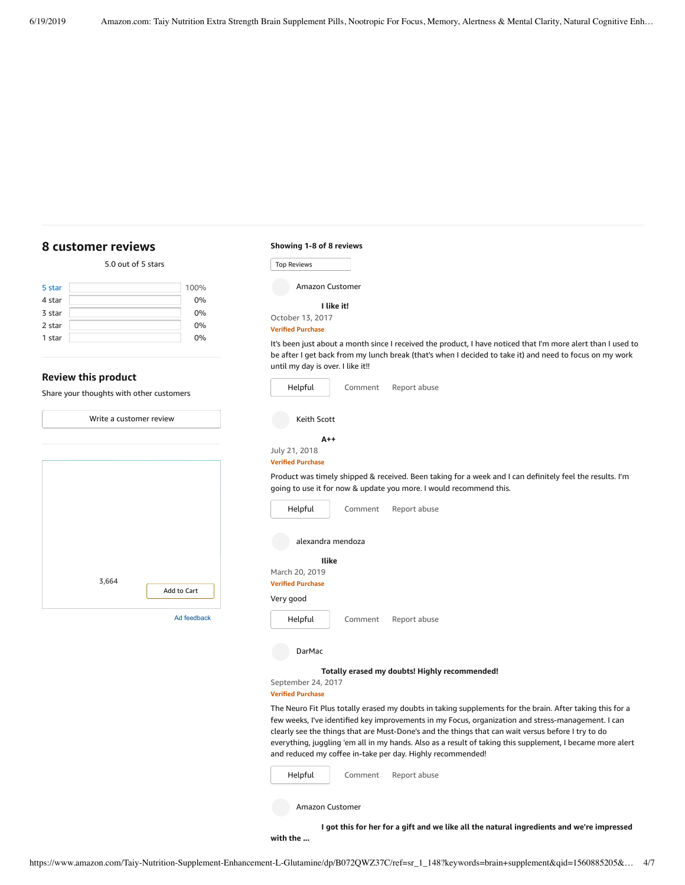|        | 5.0 out of 5 stars |      |
|--------|--------------------|------|
| 5 star |                    | 100% |

| 4 star | 0% |
|--------|----|
| 3 star | 0% |
| 2 star | 0% |
| 1 star | 0% |
|        |    |

#### **Review this product**

<span id="page-3-0"></span>**[8 customer](https://www.amazon.com/Taiy-Nutrition-Supplement-Enhancement-L-Glutamine/product-reviews/B072QWZ37C/ref=cm_cr_dp_d_show_all_top?ie=UTF8&reviewerType=all_reviews) reviews**

Share your thoughts with other customers

Write a [customer](https://www.amazon.com/review/create-review/ref=cm_cr_dp_d_wr_but_top?ie=UTF8&channel=glance-detail&asin=B072QWZ37C) review

| 3,664 | Add to Cart |
|-------|-------------|
|       | Ad feedback |

| Showing 1-8 of 8 reviews |  |  |
|--------------------------|--|--|
|--------------------------|--|--|

| <b>Top Reviews</b> |
|--------------------|
| Amazon Customer    |
| I like it!         |
| October 13, 2017   |

#### **Verified Purchase**

It's been just about a month since I received the product, I have noticed that I'm more alert than I used to be after I get back from my lunch break (that's when I decided to take it) and need to focus on my work until my day is over. I like it!!

| Helpful                                            | Comment | Report abuse                                                                                                                                                                   |
|----------------------------------------------------|---------|--------------------------------------------------------------------------------------------------------------------------------------------------------------------------------|
| Keith Scott                                        |         |                                                                                                                                                                                |
| $A++$<br>July 21, 2018<br><b>Verified Purchase</b> |         |                                                                                                                                                                                |
|                                                    |         | Product was timely shipped & received. Been taking for a week and I can definitely feel the results. I'm<br>going to use it for now & update you more. I would recommend this. |
| Helpful                                            | Comment | Report abuse                                                                                                                                                                   |
| alexandra mendoza                                  |         |                                                                                                                                                                                |
| Ilike                                              |         |                                                                                                                                                                                |
| March 20, 2019<br><b>Verified Purchase</b>         |         |                                                                                                                                                                                |
| Very good                                          |         |                                                                                                                                                                                |
| Helpful                                            | Comment | Report abuse                                                                                                                                                                   |
| <b>DarMac</b>                                      |         |                                                                                                                                                                                |
| September 24, 2017                                 |         | Totally erased my doubts! Highly recommended!                                                                                                                                  |

#### **Verified Purchase**

The Neuro Fit Plus totally erased my doubts in taking supplements for the brain. After taking this for a few weeks, I've identified key improvements in my Focus, organization and stress-management. I can clearly see the things that are Must-Done's and the things that can wait versus before I try to do everything, juggling 'em all in my hands. Also as a result of taking this supplement, I became more alert and reduced my coffee in-take per day. Highly recommended!

[Comment](https://www.amazon.com/gp/customer-reviews/R1UV91DJNSLCPL/ref=cm_cr_dp_d_rvw_btm?ie=UTF8&ASIN=B072QWZ37C#wasThisHelpful) [Report](https://www.amazon.com/hz/reviews-render/report-abuse?ie=UTF8&voteDomain=Reviews&ref=cm_cr_dp_d_rvw_hlp&csrfT=glp8vficzzcTi09kxlkC%2FLyL2AbLLb6OO9WSNawAAAABAAAAAF0Kf6dyYXcAAAAA%2B4kUEk%2F7iMGR3xPcX6iU&entityId=R1UV91DJNSLCPL&sessionId=143-6729050-3493109) abuse [Helpful](https://www.amazon.com/ap/signin?openid.return_to=https%3A%2F%2Fwww.amazon.com%2Fdp%2FB072QWZ37C%2Fref%3Dcm_cr_dp_d_vote_lft%3Fie%3DUTF8%26voteInstanceId%3DR1UV91DJNSLCPL%26voteValue%3D1%26csrfT%3Dglp8vficzzcTi09kxlkC%252FLyL2AbLLb6OO9WSNawAAAABAAAAAF0Kf6dyYXcAAAAA%252B4kUEk%252F7iMGR3xPcX6iU%23R1UV91DJNSLCPL&openid.identity=http%3A%2F%2Fspecs.openid.net%2Fauth%2F2.0%2Fidentifier_select&openid.claimed_id=http%3A%2F%2Fspecs.openid.net%2Fauth%2F2.0%2Fidentifier_select&openid.assoc_handle=usflex&openid.mode=checkid_setup&openid.ns=http%3A%2F%2Fspecs.openid.net%2Fauth%2F2.0)

Amazon Customer

**I got this for her for a gift and we like all the natural [ingredients](https://www.amazon.com/gp/customer-reviews/RQ9U1338N9ZDD/ref=cm_cr_dp_d_rvw_ttl?ie=UTF8&ASIN=B072QWZ37C) and we're impressed**

**with the ...**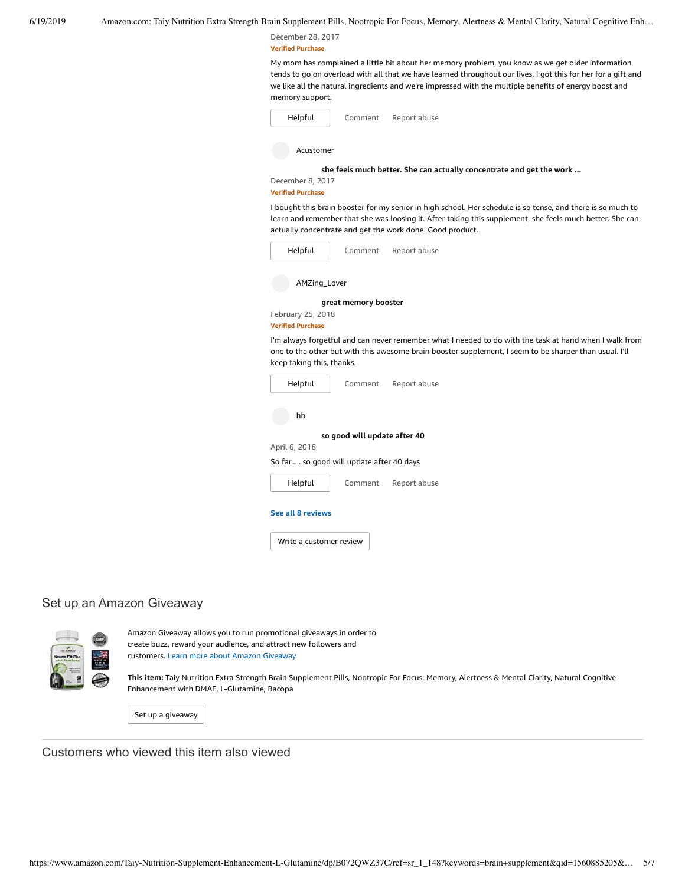December 28, 2017 **Verified Purchase**

My mom has complained a little bit about her memory problem, you know as we get older information tends to go on overload with all that we have learned throughout our lives. I got this for her for a gift and we like all the natural ingredients and we're impressed with the multiple benefits of energy boost and memory support.

| Helpful          | Comment | Report abuse                                                         |
|------------------|---------|----------------------------------------------------------------------|
| Acustomer        |         |                                                                      |
|                  |         | she feels much better. She can actually concentrate and get the work |
| December 8, 2017 |         |                                                                      |

#### **Verified Purchase**

I bought this brain booster for my senior in high school. Her schedule is so tense, and there is so much to learn and remember that she was loosing it. After taking this supplement, she feels much better. She can actually concentrate and get the work done. Good product.

| Helpful                                       | Comment                      | Report abuse                                                                                                                                                                                                     |
|-----------------------------------------------|------------------------------|------------------------------------------------------------------------------------------------------------------------------------------------------------------------------------------------------------------|
| AMZing_Lover                                  |                              |                                                                                                                                                                                                                  |
| February 25, 2018<br><b>Verified Purchase</b> | great memory booster         |                                                                                                                                                                                                                  |
| keep taking this, thanks.                     |                              | I'm always forgetful and can never remember what I needed to do with the task at hand when I walk from<br>one to the other but with this awesome brain booster supplement, I seem to be sharper than usual. I'll |
| Helpful                                       | Comment                      | Report abuse                                                                                                                                                                                                     |
| hb                                            |                              |                                                                                                                                                                                                                  |
| April 6, 2018                                 | so good will update after 40 |                                                                                                                                                                                                                  |
| So far so good will update after 40 days      |                              |                                                                                                                                                                                                                  |
| Helpful                                       | Comment                      | Report abuse                                                                                                                                                                                                     |

#### **See all 8 [reviews](https://www.amazon.com/Taiy-Nutrition-Supplement-Enhancement-L-Glutamine/product-reviews/B072QWZ37C/ref=cm_cr_dp_d_show_all_btm?ie=UTF8&reviewerType=all_reviews)**

Write a [customer](https://www.amazon.com/review/create-review/ref=cm_cr_dp_d_wr_but_btm?ie=UTF8&channel=glance-detail&asin=B072QWZ37C) review

# Set up an Amazon Giveaway



Amazon Giveaway allows you to run promotional giveaways in order to create buzz, reward your audience, and attract new followers and customers. Learn more about Amazon [Giveaway](https://www.amazon.com/gp/giveaway/home?ref=aga_dp_lm)

**This item:** Taiy Nutrition Extra Strength Brain Supplement Pills, Nootropic For Focus, Memory, Alertness & Mental Clarity, Natural Cognitive Enhancement with DMAE, L-Glutamine, Bacopa

Set up a [giveaway](https://www.amazon.com/giveaway/host/setup/ref=aga_h_su_dp?_encoding=UTF8&asin=B072QWZ37C)

Customers who viewed this item also viewed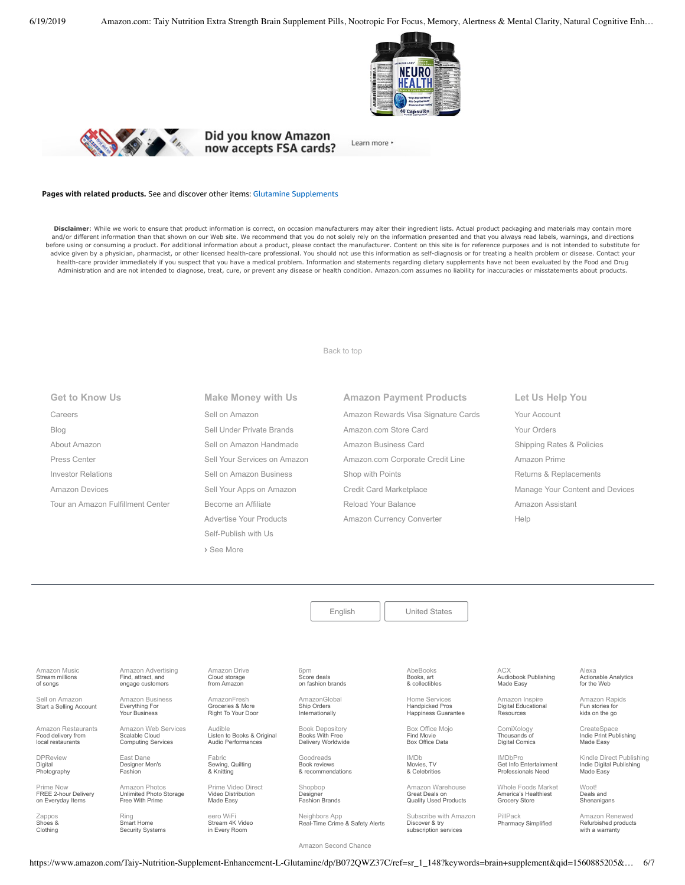



Did you know Amazon now accepts FSA cards?

Learn more ·

#### **Pages with related products.** See and discover other items: Glutamine [Supplements](https://www.amazon.com/slp/Glutamine-Supplements/kzez8ywed29p9p4?_encoding=UTF8&ref_=fs_blw_d_clp_1)

Disclaimer: While we work to ensure that product information is correct, on occasion manufacturers may alter their ingredient lists. Actual product packaging and materials may contain more and/or different information than that shown on our Web site. We recommend that you do not solely rely on the information presented and that you always read labels, warnings, and directions before using or consuming a product. For additional information about a product, please contact the manufacturer. Content on this site is for reference purposes and is not intended to substitute for advice given by a physician, pharmacist, or other licensed health-care professional. You should not use this information as self-diagnosis or for treating a health problem or disease. Contact your health-care provider immediately if you suspect that you have a medical problem. Information and statements regarding dietary supplements have not been evaluated by the Food and Drug Administration and are not intended to diagnose, treat, cure, or prevent any disease or health condition. Amazon.com assumes no liability for inaccuracies or misstatements about products.

[Back to top](#page-0-0)

| <b>Get to Know Us</b>             |
|-----------------------------------|
| Careers                           |
| Blog                              |
| About Amazon                      |
| Press Center                      |
| Investor Relations                |
| Amazon Devices                    |
| Tour an Amazon Fulfillment Center |
|                                   |

**Make Money with Us** [Sell on Amazon](https://www.amazon.com/gp/redirect.html?_encoding=UTF8&location=https%3A%2F%2Fservices.amazon.com%2Fcontent%2Fsell-on-amazon.htm%2Fref%3Dfooter_soa%3Fld%3DAZFSSOA%26ref_%3Dfooter_soa&source=standards&token=1CC2E60AAEEFD9613C04037E8F5AFD0F4D90DC5B) [Sell Under Private Brands](https://www.amazon.com/l/ref=map_1_b2b_GW_FT?node=17882322011) [Sell on Amazon Handmade](https://www.amazon.com/gp/redirect.html?_encoding=UTF8&location=https%3A%2F%2Fservices.amazon.com%2Fhandmade%2Fhandmade.html%3Fld%3DAZUSHNDFooter%26ref_%3Dfooter_soa&source=standards&token=3B063664DF1F3D449986FD6D04FA7404D76C339B) [Sell Your Services on Amazon](https://www.amazon.com/gp/redirect.html?_encoding=UTF8&location=https%3A%2F%2Fservices.amazon.com%2Fselling-services%2Fbenefits.htm%3Fld%3DAZUSVAS-globalfooter%26ref_%3Dfooter_sell_svcs&source=standards&token=E93858F0E946F93FEAC7F36EFB8E10F5C54CDBFC) [Sell on Amazon Business](https://services.amazon.com/amazon-business.html?ld=usb2bunifooter) [Sell Your Apps on Amazon](https://developer.amazon.com/) [Become an Affiliate](https://affiliate-program.amazon.com/) [Advertise Your Products](https://advertising.amazon.com/?ref=ext_amzn_ftr) Self-Publish with Us **›** [See More](https://www.amazon.com/b/?_encoding=UTF8&ld=AZUSSOA-seemore&node=18190131011&ref_=footer_seemore)

**Amazon Payment Products** [Amazon Rewards Visa Signature Cards](https://www.amazon.com/iss/credit/rewardscardmember?_encoding=UTF8&plattr=CBFOOT&ref_=footer_cbcc) [Amazon.com Store Card](https://www.amazon.com/iss/credit/storecardmember?_encoding=UTF8&plattr=PLCCFOOT&ref_=footer_plcc) [Amazon Business Card](https://www.amazon.com/dp/B07984JN3L?_encoding=UTF8&ie=UTF-8&plattr=ACOMFO) [Amazon.com Corporate Credit Line](https://www.amazon.com/dp/B07CBJQS16?_encoding=UTF8&ie=UTF-8&place=camp&plattr=CCLFOOT&pr=ibprox&ref_=footer_ccl) [Shop with Points](https://www.amazon.com/b?ie=UTF8&node=16218619011&ref_=footer_swp) [Credit Card Marketplace](https://www.amazon.com/compare-credit-card-offers/b?ie=UTF8&node=3561432011&ref_=footer_ccmp) [Reload Your Balance](https://www.amazon.com/Reload-Your-Gift-Card-Balance/b?ie=UTF8&node=10232440011&ref_=footer_reload_us) [Amazon Currency Converter](https://www.amazon.com/Currency-Converter/b?ie=UTF8&node=388305011&ref_=footer_tfx)

**Let Us Help You** [Your Account](https://www.amazon.com/gp/css/homepage.html?ie=UTF8&ref_=footer_ya) [Your Orders](https://www.amazon.com/gp/css/order-history?ie=UTF8&ref_=footer_yo) [Shipping Rates & Policies](https://www.amazon.com/gp/help/customer/display.html?ie=UTF8&nodeId=468520&ref_=footer_shiprates) [Amazon Prime](https://www.amazon.com/gp/prime?ie=UTF8&ref_=footer_prime) [Returns & Replacements](https://www.amazon.com/gp/css/returns/homepage.html?ie=UTF8&ref_=footer_hy_f_4) [Manage Your Content and Devices](https://www.amazon.com/gp/digital/fiona/manage?ie=UTF8&ref_=footer_myk) [Amazon Assistant](https://www.amazon.com/gp/BIT/ref=footer_bit_v2_us_A0029?bitCampaignCode=A0029) [Help](https://www.amazon.com/gp/help/customer/display.html?ie=UTF8&nodeId=508510&ref_=footer_gw_m_b_he)

[English](https://www.amazon.com/gp/customer-preferences/select-language/ref=footer_lang?ie=UTF8&preferencesReturnUrl=%2FTaiy-Nutrition-Supplement-Enhancement-L-Glutamine%2Fdp%2FB072QWZ37C%2Fref%3Dsr_1_148%3Fkeywords%3Dbrain%2Bsupplement%26qid%3D1560885205%26s%3Dgateway%26sr%3D8-148) | [United States](https://www.amazon.com/gp/navigation-country/select-country/ref=?ie=UTF8&preferencesReturnUrl=%2FTaiy-Nutrition-Supplement-Enhancement-L-Glutamine%2Fdp%2FB072QWZ37C%2Fref%3Dsr_1_148%3Fkeywords%3Dbrain%2Bsupplement%26qid%3D1560885205%26s%3Dgateway%26sr%3D8-148)

[Amazon Music](https://music.amazon.com/?ref=dm_aff_amz_com) Stream millions of songs

Sell on Amazon [Start a Selling Account](https://www.amazon.com/gp/redirect.html?_encoding=UTF8&location=https%3A%2F%2Fservices.amazon.com%2Fcontent%2Fsell-on-amazon.htm%3Fld%3DAZUSSOA-footer-aff%26ref%3Dfooter_sell&source=standards&token=9C20DC45C16BB27C88A9F9FF2131288939F17ADB)

[Amazon Restaurants](https://primenow.amazon.com/restaurants?ref_=amzrst_nav_footer) Food delivery from local restaurants

[DPReview](https://www.dpreview.com/) Digital Photography

Prime Now [FREE 2hour Delivery](https://primenow.amazon.com/?ref=HOUD12C322_0_GlobalFooter) on Everyday Items

[Zappos](https://www.zappos.com/) Shoes & Clothing

[Amazon Advertising](https://advertising.amazon.com/?ref=footer_advtsing_amzn_com) Find, attract, and engage customers

[Amazon Business](https://www.amazon.com/business?_encoding=UTF8&ref_=footer_retail_b2b) Everything For Your Business

Fashion

[Amazon Web Services](https://aws.amazon.com/what-is-cloud-computing/?sc_channel=EL&sc_campaign=amazonfooter) Scalable Cloud Computing Services

East Dane [Designer Men's](https://www.eastdane.com/welcome)

Amazon Photos [Unlimited Photo Storage](https://www.amazon.com/STRING-subnav-prime-photos/b?ie=UTF8&node=13234696011&ref_=gno_p_foot) Free With Prime

Ring Smart Home [Security Systems](https://ring.com/)

AmazonFresh Groceries & More [Right To Your Door](https://www.amazon.com/AmazonFresh/b?ie=UTF8&node=10329849011&ref_=footer_aff_fresh)

Audio Performances

[Audible](https://www.audible.com/)

Fabric [Sewing, Quilting](https://www.fabric.com/) & Knitting

Made Easy

eero WiFi [Stream 4K Video](https://eero.com/) in Every Room

[Amazon Drive](https://www.amazon.com/STRING-subnav_primephotos_amazondrive/b?ie=UTF8&node=15547130011&ref_=us_footer_drive) Cloud storage from Amazon

Listen to Books & Original

Goodreads

Real-Time Crime & Safety Alerts

AbeBooks Books, art [& collectibles](https://www.abebooks.com/)

Home Services Handpicked Pros [Happiness Guarantee](https://www.amazon.com/services?_encoding=UTF8&ref_=footer_services)

[Box Office Mojo](https://www.boxofficemojo.com/?ref_=amzn_nav_ftr) Find Movie

IMDb Movies, TV

Great Deals on

Subscribe with Amazor Discover & try

ACX [Audiobook Publishing](https://www.acx.com/) Made Easy

[Actionable Analytics](https://www.alexa.com/) for the Web

[Amazon Rapids](https://rapids.amazon.com/?ref=rapids_acq_gatewayfooter) Fun stories for kids on the go

Alexa

CreateSpace [Indie Print Publishing](https://www.createspace.com/) Made Easy

[Kindle Direct Publishing](https://kdp.amazon.com/) Indie Digital Publishing Made Easy

Woot! Deals and [Shenanigans](https://www.woot.com/)

[Amazon Renewed](https://www.amazon.com/Certified-Refurbished/b?ie=UTF8&node=12653393011&ref_=footer_usrenew) Refurbished products

[Amazon Second Chance](https://www.amazon.com/amazonsecondchance?_encoding=UTF8&ref_=footer_asc)

https://www.amazon.com/Taiy-Nutrition-Supplement-Enhancement-L-Glutamine/dp/B072QWZ37C/ref=sr\_1\_148?keywords=brain+supplement&qid=1560885205&… 6/7

Box Office Data

[& Celebrities](https://www.imdb.com/)

Quality Used Products

subscription services

[Amazon Inspire](https://www.amazoninspire.com/?ref=amazon_footer) Digital Educational Resources

**[ComiXology](https://www.comixology.com/)** 

PillPack [Pharmacy Simplified](https://www.pillpack.com/)

Thousands of Digital Comics IMDbPro [Get Info Entertainment](https://pro.imdb.com/?ref_=amzn_nav_ftr)

Professionals Need

[Whole Foods Market](https://www.wholefoodsmarket.com/) America's Healthiest Grocery Store

with a warranty

[Prime Video Direct](https://videodirect.amazon.com/home/landing) Video Distribution Shopbop Designer

Neighbors App

[AmazonGlobal](https://www.amazon.com/International-Shipping-Direct/b?ie=UTF8&node=230659011&ref_=footer_amazonglobal) Ship Orders Internationally

6pm Score deals [on fashion brands](https://www.6pm.com/)

[Book Depository](https://www.bookdepository.com/) Books With Free Delivery Worldwide

Book reviews [& recommendations](https://www.goodreads.com/)

[Fashion Brands](https://www.shopbop.com/welcome)

[Amazon Warehouse](https://www.amazon.com/Warehouse-Deals/b?ie=UTF8&node=10158976011&ref_=footer_wrhsdls)